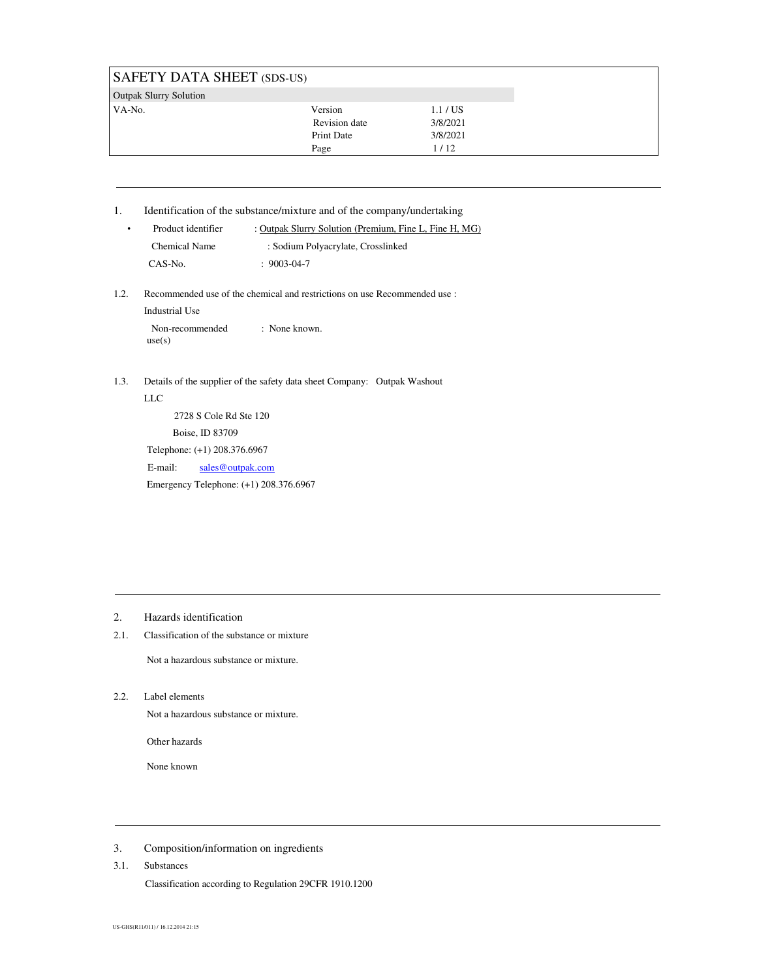| <b>SAFETY DATA SHEET (SDS-US)</b> |               |          |
|-----------------------------------|---------------|----------|
| <b>Outpak Slurry Solution</b>     |               |          |
| VA-No.                            | Version       | 1.1 / US |
|                                   | Revision date | 3/8/2021 |
|                                   | Print Date    | 3/8/2021 |
|                                   | Page          | 1/12     |

1. Identification of the substance/mixture and of the company/undertaking

| Product identifier   | : Outpak Slurry Solution (Premium, Fine L, Fine H, MG) |
|----------------------|--------------------------------------------------------|
| <b>Chemical Name</b> | : Sodium Polyacrylate, Crosslinked                     |
| CAS-No.              | $\cdot$ 9003-04-7                                      |

1.2. Recommended use of the chemical and restrictions on use Recommended use :

Industrial Use

Non-recommended : None known. use(s)

1.3. Details of the supplier of the safety data sheet Company: Outpak Washout

#### LLC

 2728 S Cole Rd Ste 120 Boise, ID 83709 Telephone: (+1) 208.376.6967 E-mail: sales@outpak.com Emergency Telephone: (+1) 208.376.6967

2. Hazards identification

2.1. Classification of the substance or mixture

Not a hazardous substance or mixture.

2.2. Label elements

Not a hazardous substance or mixture.

Other hazards

None known

- 3. Composition/information on ingredients
- 3.1. Substances

Classification according to Regulation 29CFR 1910.1200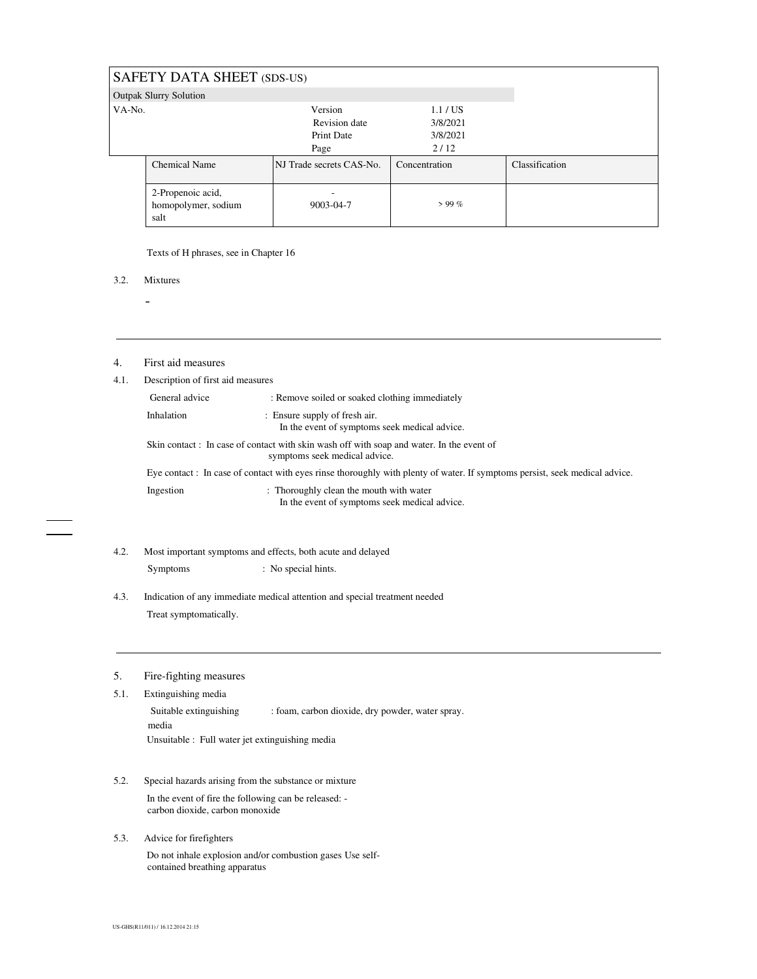|        | SAFETY DATA SHEET (SDS-US)    |                          |               |                |
|--------|-------------------------------|--------------------------|---------------|----------------|
|        | <b>Outpak Slurry Solution</b> |                          |               |                |
| VA-No. |                               | Version                  | 1.1 / US      |                |
|        |                               | Revision date            | 3/8/2021      |                |
|        |                               | Print Date               | 3/8/2021      |                |
|        |                               | Page                     | 2/12          |                |
|        | Chemical Name                 | NJ Trade secrets CAS-No. | Concentration | Classification |
|        |                               |                          |               |                |
|        | 2-Propenoic acid,             |                          |               |                |
|        | homopolymer, sodium           | 9003-04-7                | $> 99\%$      |                |
|        | salt                          |                          |               |                |

Texts of H phrases, see in Chapter 16

- 3.2. Mixtures
	- -

## 4. First aid measures

| Description of first aid measures               |                                                                                                                            |
|-------------------------------------------------|----------------------------------------------------------------------------------------------------------------------------|
| General advice                                  | : Remove soiled or soaked clothing immediately                                                                             |
| Inhalation                                      | : Ensure supply of fresh air.<br>In the event of symptoms seek medical advice.                                             |
|                                                 | Skin contact: In case of contact with skin wash off with soap and water. In the event of<br>symptoms seek medical advice.  |
|                                                 | Eye contact: In case of contact with eyes rinse thoroughly with plenty of water. If symptoms persist, seek medical advice. |
| Ingestion                                       | : Thoroughly clean the mouth with water<br>In the event of symptoms seek medical advice.                                   |
|                                                 |                                                                                                                            |
|                                                 |                                                                                                                            |
|                                                 | : No special hints.                                                                                                        |
|                                                 | Indication of any immediate medical attention and special treatment needed                                                 |
| Treat symptomatically.                          |                                                                                                                            |
|                                                 |                                                                                                                            |
|                                                 |                                                                                                                            |
| Fire-fighting measures                          |                                                                                                                            |
| Extinguishing media                             |                                                                                                                            |
| Suitable extinguishing<br>media                 | : foam, carbon dioxide, dry powder, water spray.                                                                           |
| Unsuitable : Full water jet extinguishing media |                                                                                                                            |
|                                                 | Special hazards arising from the substance or mixture                                                                      |
| carbon dioxide, carbon monoxide                 | In the event of fire the following can be released: -                                                                      |
|                                                 | Most important symptoms and effects, both acute and delayed<br>Symptoms                                                    |

5.3. Advice for firefighters

Do not inhale explosion and/or combustion gases Use selfcontained breathing apparatus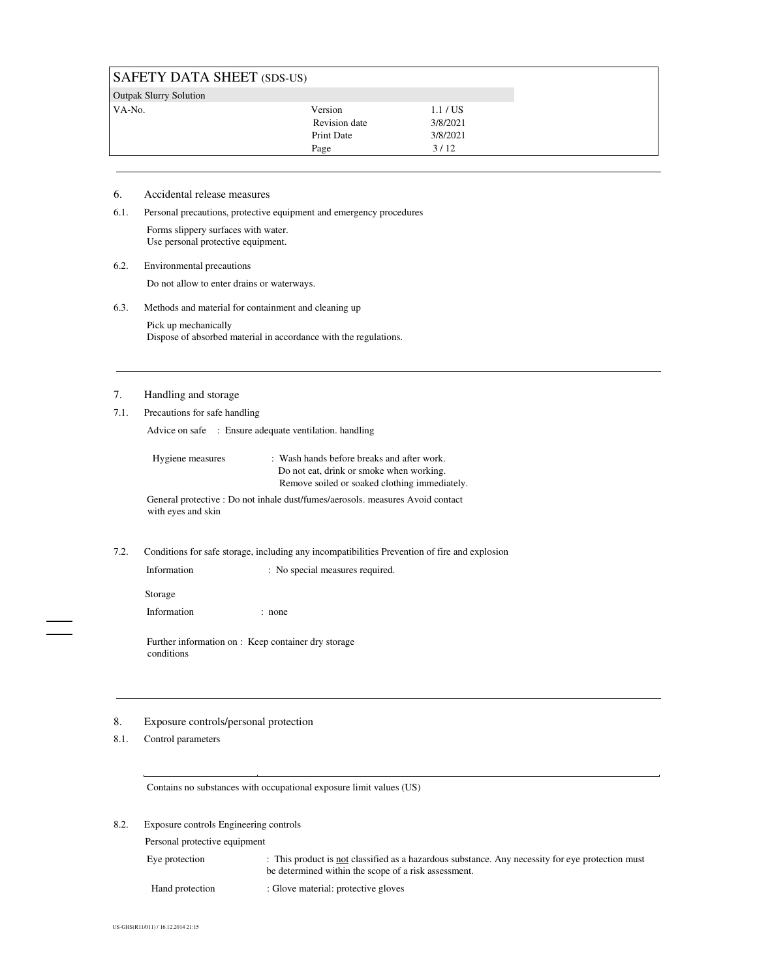## SAFETY DATA SHEET (SDS-US)

| <b>Outpak Slurry Solution</b> |               |          |
|-------------------------------|---------------|----------|
| VA-No.                        | Version       | 1.1 / US |
|                               | Revision date | 3/8/2021 |
|                               | Print Date    | 3/8/2021 |
|                               | Page          | 3/12     |

#### 6. Accidental release measures

## 6.1. Personal precautions, protective equipment and emergency procedures

Forms slippery surfaces with water. Use personal protective equipment.

- 6.2. Environmental precautions Do not allow to enter drains or waterways.
- 6.3. Methods and material for containment and cleaning up Pick up mechanically Dispose of absorbed material in accordance with the regulations.

#### 7. Handling and storage

#### 7.1. Precautions for safe handling

Advice on safe : Ensure adequate ventilation. handling

| Hygiene measures | : Wash hands before breaks and after work.                                     |
|------------------|--------------------------------------------------------------------------------|
|                  | Do not eat, drink or smoke when working.                                       |
|                  | Remove soiled or soaked clothing immediately.                                  |
|                  | General protective : Do not inhale dust/fumes/aerosols. measures Avoid contact |

with eyes and skin

7.2. Conditions for safe storage, including any incompatibilities Prevention of fire and explosion

Storage

Information : none

Further information on : Keep container dry storage conditions

### 8. Exposure controls/personal protection

8.1. Control parameters

Contains no substances with occupational exposure limit values (US)

8.2. Exposure controls Engineering controls

Personal protective equipment

| Eye protection  | : This product is not classified as a hazardous substance. Any necessity for eye protection must<br>be determined within the scope of a risk assessment. |
|-----------------|----------------------------------------------------------------------------------------------------------------------------------------------------------|
| Hand protection | : Glove material: protective gloves                                                                                                                      |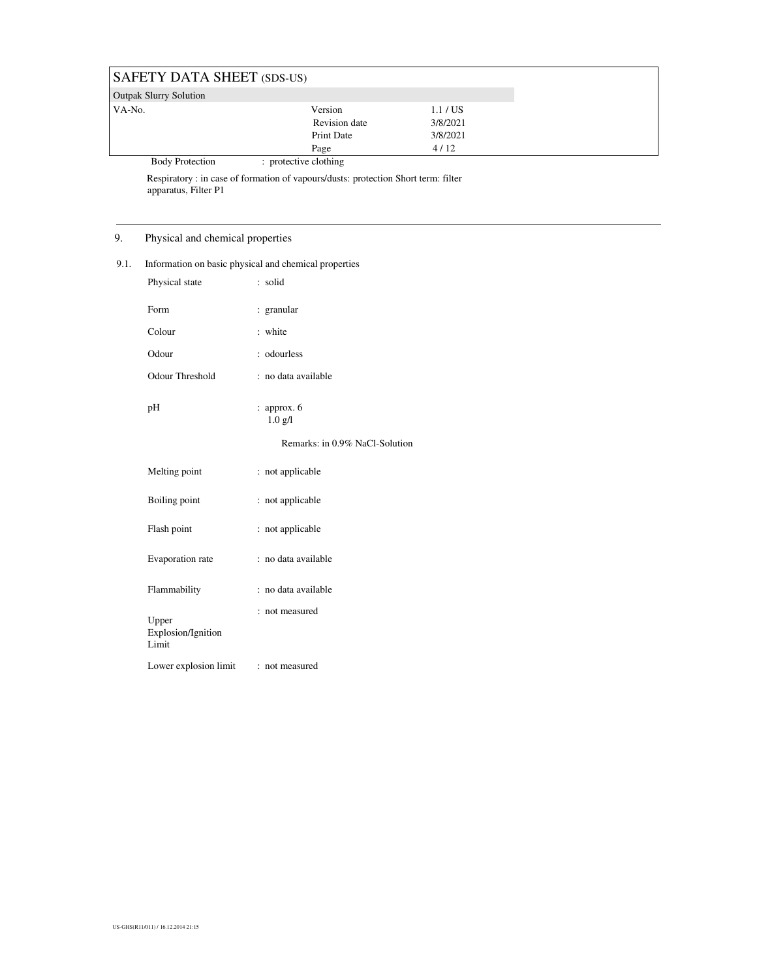# SAFETY DATA SHEET (SDS-US)

| <b>Outpak Slurry Solution</b> |               |          |
|-------------------------------|---------------|----------|
| VA-No.                        | Version       | 1.1 / US |
|                               | Revision date | 3/8/2021 |
|                               | Print Date    | 3/8/2021 |
|                               | Page          | 4/12     |

Body Protection : protective clothing

Respiratory : in case of formation of vapours/dusts: protection Short term: filter apparatus, Filter P1

## 9. Physical and chemical properties

## 9.1. Information on basic physical and chemical properties

| Physical state                       | : solid                        |
|--------------------------------------|--------------------------------|
| Form                                 | : granular                     |
| Colour                               | : white                        |
| Odour                                | : odourless                    |
| Odour Threshold                      | : no data available            |
| pH                                   | $:$ approx. 6<br>$1.0$ g/l     |
|                                      | Remarks: in 0.9% NaCl-Solution |
| Melting point                        | : not applicable               |
| Boiling point                        | : not applicable               |
| Flash point                          | : not applicable               |
| Evaporation rate                     | : no data available            |
| Flammability                         | : no data available            |
| Upper<br>Explosion/Ignition<br>Limit | : not measured                 |
| Lower explosion limit                | : not measured                 |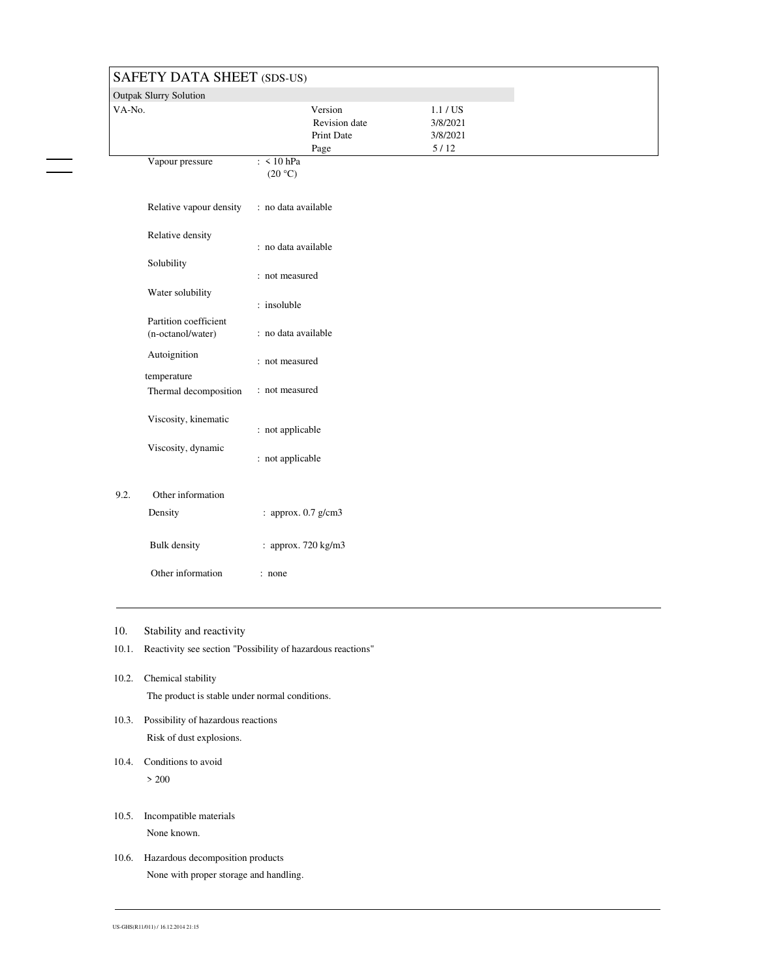| SAFETY DATA SHEET (SDS-US)                 |                                        |                                            |  |
|--------------------------------------------|----------------------------------------|--------------------------------------------|--|
| <b>Outpak Slurry Solution</b>              |                                        |                                            |  |
| VA-No.                                     | Version<br>Revision date<br>Print Date | 1.1 / US<br>3/8/2021<br>3/8/2021<br>$5/12$ |  |
| Vapour pressure                            | Page<br>: 410 hPa<br>(20 °C)           |                                            |  |
| Relative vapour density                    | : no data available                    |                                            |  |
| Relative density                           | : no data available                    |                                            |  |
| Solubility                                 | : not measured                         |                                            |  |
| Water solubility                           | : insoluble                            |                                            |  |
| Partition coefficient<br>(n-octanol/water) | : no data available                    |                                            |  |
| Autoignition                               | : not measured                         |                                            |  |
| temperature<br>Thermal decomposition       | : not measured                         |                                            |  |
| Viscosity, kinematic                       | : not applicable                       |                                            |  |
| Viscosity, dynamic                         | : not applicable                       |                                            |  |
| 9.2.<br>Other information                  |                                        |                                            |  |
| Density                                    | : approx. $0.7$ g/cm3                  |                                            |  |
| <b>Bulk</b> density                        | : approx. 720 kg/m3                    |                                            |  |
| Other information                          | : none                                 |                                            |  |

- 10. Stability and reactivity
- 10.1. Reactivity see section "Possibility of hazardous reactions"
- 10.2. Chemical stability The product is stable under normal conditions.
- 10.3. Possibility of hazardous reactions Risk of dust explosions.
- 10.4. Conditions to avoid > 200
- 10.5. Incompatible materials None known.
- 10.6. Hazardous decomposition products None with proper storage and handling.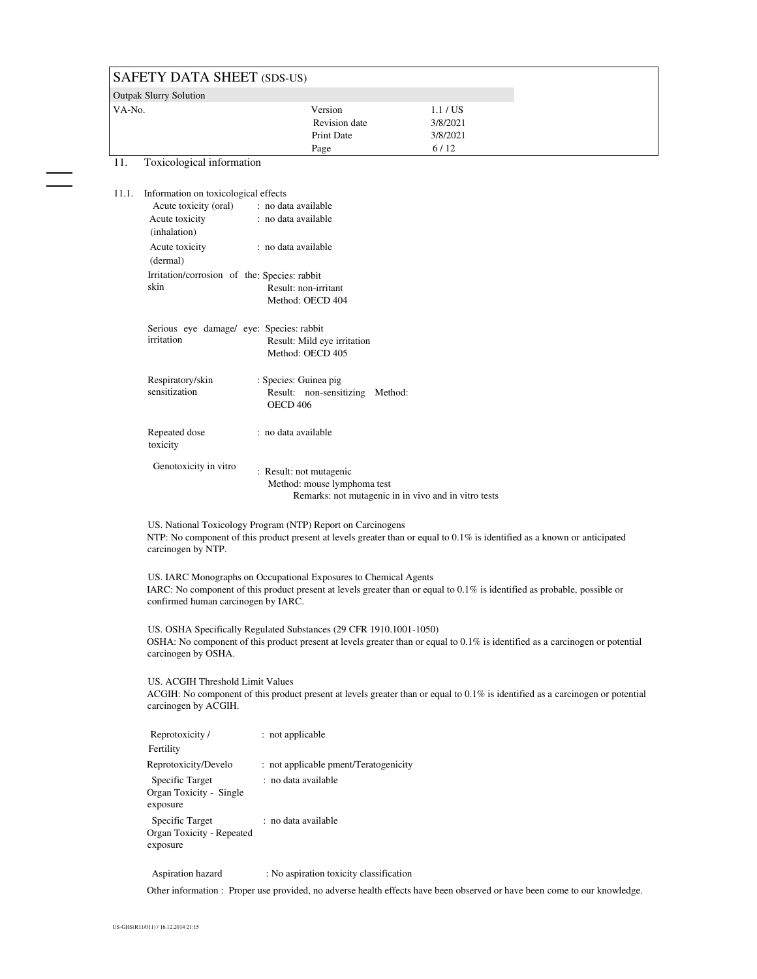|        | <b>Outpak Slurry Solution</b>                                                                   |                                                                                                                                                                                                     |                                  |  |
|--------|-------------------------------------------------------------------------------------------------|-----------------------------------------------------------------------------------------------------------------------------------------------------------------------------------------------------|----------------------------------|--|
| VA-No. |                                                                                                 | Version<br>Revision date<br>Print Date                                                                                                                                                              | 1.1 / US<br>3/8/2021<br>3/8/2021 |  |
|        |                                                                                                 | Page                                                                                                                                                                                                | 6/12                             |  |
| 11.    | Toxicological information                                                                       |                                                                                                                                                                                                     |                                  |  |
| 11.1.  | Information on toxicological effects<br>Acute toxicity (oral)<br>Acute toxicity<br>(inhalation) | : no data available<br>: no data available                                                                                                                                                          |                                  |  |
|        | Acute toxicity<br>(dermal)                                                                      | : no data available                                                                                                                                                                                 |                                  |  |
|        | Irritation/corrosion of the: Species: rabbit                                                    |                                                                                                                                                                                                     |                                  |  |
|        | skin                                                                                            | Result: non-irritant<br>Method: OECD 404                                                                                                                                                            |                                  |  |
|        | Serious eye damage/ eye: Species: rabbit<br>irritation                                          | Result: Mild eye irritation<br>Method: OECD 405                                                                                                                                                     |                                  |  |
|        | Respiratory/skin<br>sensitization                                                               | : Species: Guinea pig<br>Result: non-sensitizing Method:<br>OECD 406                                                                                                                                |                                  |  |
|        | Repeated dose<br>toxicity                                                                       | : no data available                                                                                                                                                                                 |                                  |  |
|        | Genotoxicity in vitro                                                                           | : Result: not mutagenic<br>Method: mouse lymphoma test<br>Remarks: not mutagenic in in vivo and in vitro tests                                                                                      |                                  |  |
|        | carcinogen by NTP.                                                                              | US. National Toxicology Program (NTP) Report on Carcinogens<br>NTP: No component of this product present at levels greater than or equal to $0.1\%$ is identified as a known or anticipated         |                                  |  |
|        | confirmed human carcinogen by IARC.                                                             | US. IARC Monographs on Occupational Exposures to Chemical Agents<br>IARC: No component of this product present at levels greater than or equal to 0.1% is identified as probable, possible or       |                                  |  |
|        | carcinogen by OSHA.                                                                             | US. OSHA Specifically Regulated Substances (29 CFR 1910.1001-1050)<br>OSHA: No component of this product present at levels greater than or equal to 0.1% is identified as a carcinogen or potential |                                  |  |
|        | US. ACGIH Threshold Limit Values<br>carcinogen by ACGIH.                                        | ACGIH: No component of this product present at levels greater than or equal to $0.1\%$ is identified as a carcinogen or potential                                                                   |                                  |  |
|        | Reprotoxicity /<br>Fertility                                                                    | : not applicable                                                                                                                                                                                    |                                  |  |
|        | Reprotoxicity/Develo                                                                            | : not applicable pment/Teratogenicity                                                                                                                                                               |                                  |  |
|        | Specific Target<br>Organ Toxicity - Single<br>exposure                                          | : no data available                                                                                                                                                                                 |                                  |  |
|        | Specific Target<br>Organ Toxicity - Repeated<br>exposure                                        | : no data available                                                                                                                                                                                 |                                  |  |
|        | Aspiration hazard                                                                               | : No aspiration toxicity classification                                                                                                                                                             |                                  |  |

Other information : Proper use provided, no adverse health effects have been observed or have been come to our knowledge.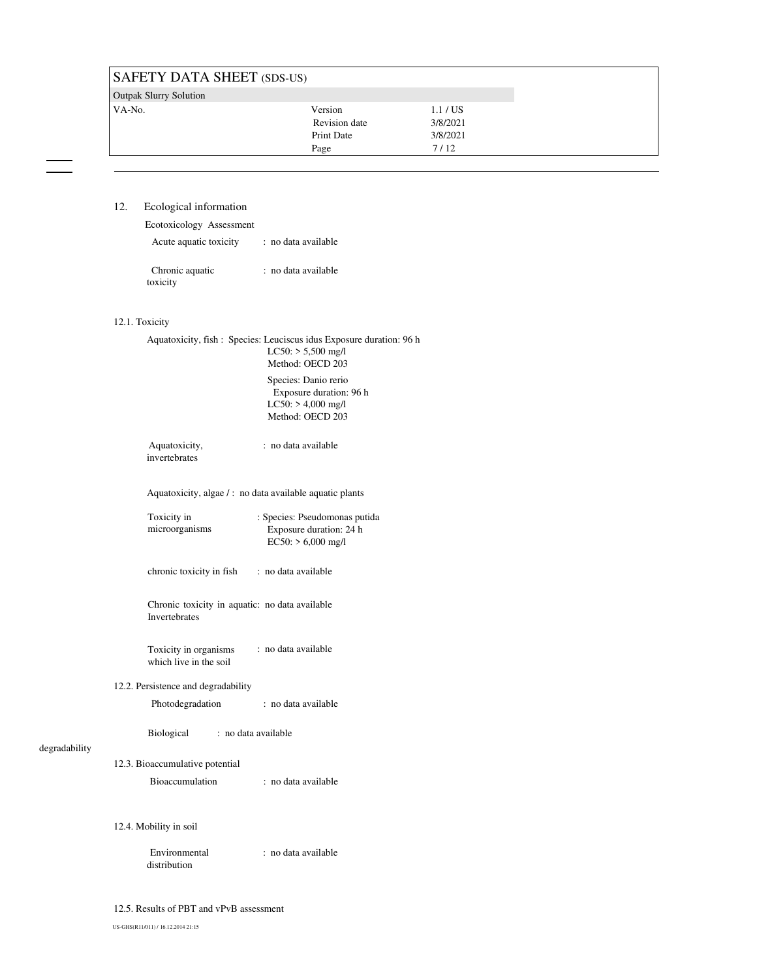| <b>SAFETY DATA SHEET (SDS-US)</b> |               |          |
|-----------------------------------|---------------|----------|
| <b>Outpak Slurry Solution</b>     |               |          |
| VA-No.                            | Version       | 1.1 / US |
|                                   | Revision date | 3/8/2021 |
|                                   | Print Date    | 3/8/2021 |
|                                   | Page          | 7/12     |

## 12. Ecological information

Ecotoxicology Assessment

| Acute aquatic toxicity      | : no data available |
|-----------------------------|---------------------|
| Chronic aquatic<br>toxicity | : no data available |

## 12.1. Toxicity

|                                                                        | Aquatoxicity, fish: Species: Leuciscus idus Exposure duration: 96 h<br>$LC50:$ > 5,500 mg/l<br>Method: OECD 203<br>Species: Danio rerio<br>Exposure duration: 96 h<br>$LC50: > 4,000$ mg/l<br>Method: OECD 203 |
|------------------------------------------------------------------------|----------------------------------------------------------------------------------------------------------------------------------------------------------------------------------------------------------------|
|                                                                        |                                                                                                                                                                                                                |
| Aquatoxicity,<br>invertebrates                                         | : no data available                                                                                                                                                                                            |
| Aquatoxicity, algae /: no data available aquatic plants                |                                                                                                                                                                                                                |
| Toxicity in<br>microorganisms                                          | : Species: Pseudomonas putida<br>Exposure duration: 24 h<br>$EC50:$ > 6,000 mg/l                                                                                                                               |
| chronic toxicity in fish : no data available                           |                                                                                                                                                                                                                |
| Chronic toxicity in aquatic: no data available<br><b>Invertebrates</b> |                                                                                                                                                                                                                |
| Toxicity in organisms : no data available<br>which live in the soil    |                                                                                                                                                                                                                |
| 12.2. Persistence and degradability                                    |                                                                                                                                                                                                                |
| Photodegradation : no data available                                   |                                                                                                                                                                                                                |
| Biological : no data available                                         |                                                                                                                                                                                                                |
|                                                                        |                                                                                                                                                                                                                |
| 12.3. Bioaccumulative potential                                        |                                                                                                                                                                                                                |
| Bioaccumulation : no data available                                    |                                                                                                                                                                                                                |
| 12.4. Mobility in soil                                                 |                                                                                                                                                                                                                |
| Environmental<br>distribution                                          | : no data available                                                                                                                                                                                            |

## 12.5. Results of PBT and vPvB assessment

degradability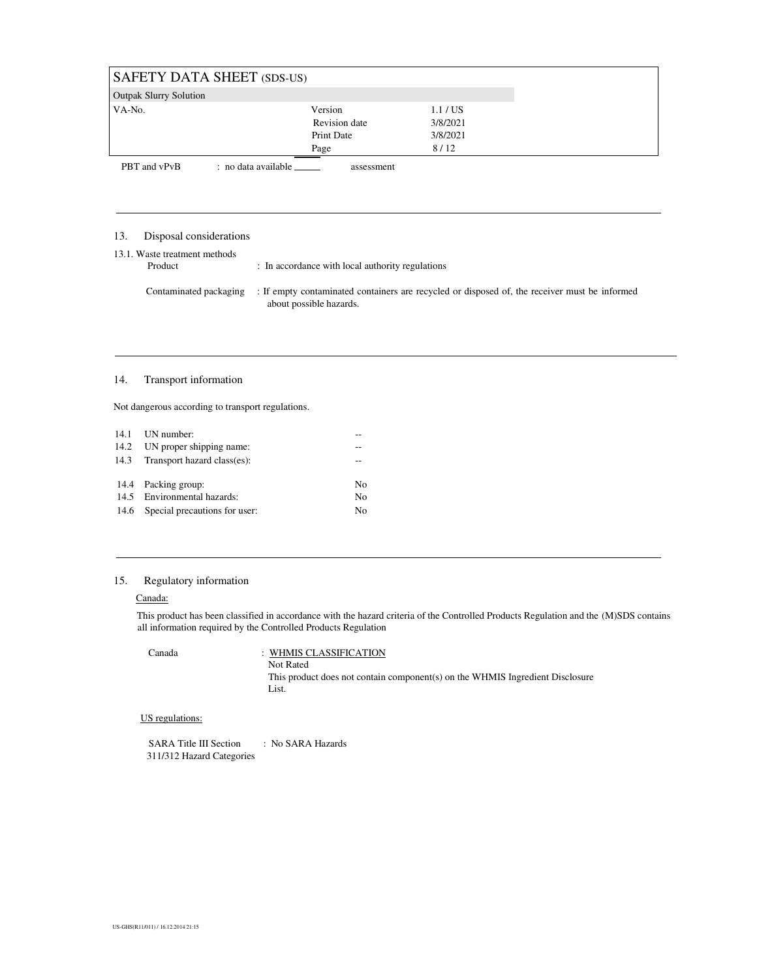|                               | <b>SAFETY DATA SHEET (SDS-US)</b>  |          |
|-------------------------------|------------------------------------|----------|
| <b>Outpak Slurry Solution</b> |                                    |          |
| VA-No.                        | Version                            | 1.1 / US |
|                               | <b>Revision</b> date               | 3/8/2021 |
|                               | Print Date                         | 3/8/2021 |
|                               | Page                               | 8/12     |
| PBT and vPvB                  | : no data available.<br>assessment |          |

## 13. Disposal considerations

| 13.1. Waste treatment methods |                                                                                                                                                 |
|-------------------------------|-------------------------------------------------------------------------------------------------------------------------------------------------|
| Product                       | : In accordance with local authority regulations                                                                                                |
|                               | Contaminated packaging : If empty contaminated containers are recycled or disposed of, the receiver must be informed<br>about possible hazards. |

## 14. Transport information

Not dangerous according to transport regulations.

|      | 14.1 UN number:                    |    |
|------|------------------------------------|----|
| 14.2 | UN proper shipping name:           |    |
|      | 14.3 Transport hazard class(es):   |    |
|      | 14.4 Packing group:                | No |
|      | 14.5 Environmental hazards:        | No |
|      | 14.6 Special precautions for user: | No |

## 15. Regulatory information

## Canada:

This product has been classified in accordance with the hazard criteria of the Controlled Products Regulation and the (M)SDS contains all information required by the Controlled Products Regulation

## Canada : WHMIS CLASSIFICATION

Not Rated This product does not contain component(s) on the WHMIS Ingredient Disclosure List.

#### US regulations:

SARA Title III Section : No SARA Hazards 311/312 Hazard Categories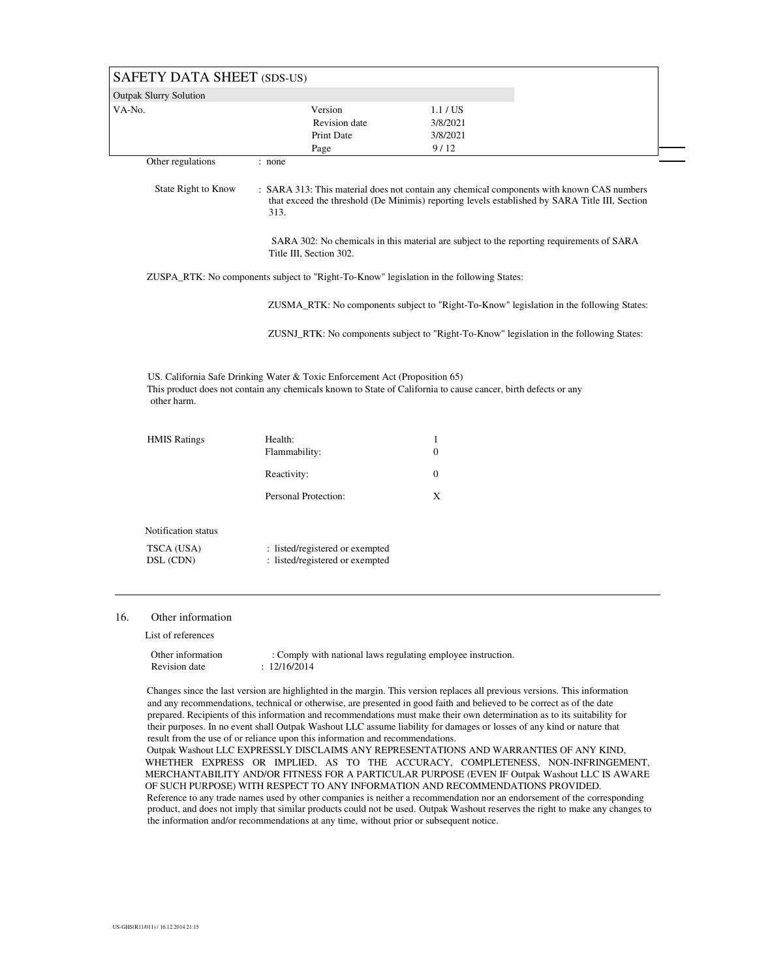|                               | SAFETY DATA SHEET (SDS-US)                                                                                                                                                                          |                                                                                                                |  |
|-------------------------------|-----------------------------------------------------------------------------------------------------------------------------------------------------------------------------------------------------|----------------------------------------------------------------------------------------------------------------|--|
| <b>Outpak Slurry Solution</b> |                                                                                                                                                                                                     |                                                                                                                |  |
| VA-No.                        | Version                                                                                                                                                                                             | 1.1 / US                                                                                                       |  |
|                               | Revision date                                                                                                                                                                                       | 3/8/2021                                                                                                       |  |
|                               | <b>Print Date</b>                                                                                                                                                                                   | 3/8/2021                                                                                                       |  |
|                               | Page                                                                                                                                                                                                | 9/12                                                                                                           |  |
| Other regulations             | : none                                                                                                                                                                                              |                                                                                                                |  |
| State Right to Know           | : SARA 313: This material does not contain any chemical components with known CAS numbers<br>that exceed the threshold (De Minimis) reporting levels established by SARA Title III, Section<br>313. |                                                                                                                |  |
|                               | Title III, Section 302.                                                                                                                                                                             | SARA 302: No chemicals in this material are subject to the reporting requirements of SARA                      |  |
|                               | ZUSPA_RTK: No components subject to "Right-To-Know" legislation in the following States:                                                                                                            |                                                                                                                |  |
|                               |                                                                                                                                                                                                     | ZUSMA_RTK: No components subject to "Right-To-Know" legislation in the following States:                       |  |
|                               |                                                                                                                                                                                                     |                                                                                                                |  |
|                               |                                                                                                                                                                                                     | ZUSNJ_RTK: No components subject to "Right-To-Know" legislation in the following States:                       |  |
| other harm.                   | US. California Safe Drinking Water & Toxic Enforcement Act (Proposition 65)                                                                                                                         | This product does not contain any chemicals known to State of California to cause cancer, birth defects or any |  |
| <b>HMIS Ratings</b>           | Health:                                                                                                                                                                                             | 1                                                                                                              |  |
|                               | Flammability:                                                                                                                                                                                       | $\mathbf{0}$                                                                                                   |  |
|                               | Reactivity:                                                                                                                                                                                         | $\overline{0}$                                                                                                 |  |

#### 16. Other information

List of references

| Other information | : Comply with national laws regulating employee instruction. |
|-------------------|--------------------------------------------------------------|
| Revision date     | : 12/16/2014                                                 |

TSCA (USA) : listed/registered or exempted DSL (CDN) : listed/registered or exempted

Changes since the last version are highlighted in the margin. This version replaces all previous versions. This information and any recommendations, technical or otherwise, are presented in good faith and believed to be correct as of the date prepared. Recipients of this information and recommendations must make their own determination as to its suitability for their purposes. In no event shall Outpak Washout LLC assume liability for damages or losses of any kind or nature that result from the use of or reliance upon this information and recommendations.

Outpak Washout LLC EXPRESSLY DISCLAIMS ANY REPRESENTATIONS AND WARRANTIES OF ANY KIND, WHETHER EXPRESS OR IMPLIED, AS TO THE ACCURACY, COMPLETENESS, NON-INFRINGEMENT, MERCHANTABILITY AND/OR FITNESS FOR A PARTICULAR PURPOSE (EVEN IF Outpak Washout LLC IS AWARE OF SUCH PURPOSE) WITH RESPECT TO ANY INFORMATION AND RECOMMENDATIONS PROVIDED. Reference to any trade names used by other companies is neither a recommendation nor an endorsement of the corresponding product, and does not imply that similar products could not be used. Outpak Washout reserves the right to make any changes to the information and/or recommendations at any time, without prior or subsequent notice.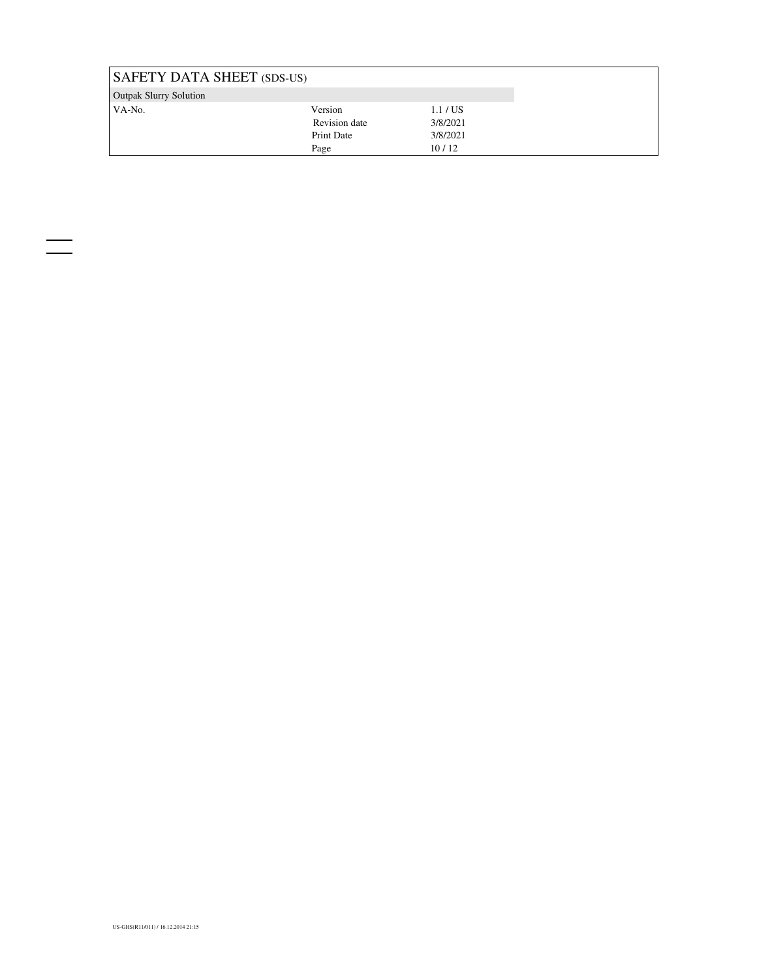| <b>SAFETY DATA SHEET (SDS-US)</b> |               |          |
|-----------------------------------|---------------|----------|
| <b>Outpak Slurry Solution</b>     |               |          |
| VA-No.                            | Version       | 1.1 / US |
|                                   | Revision date | 3/8/2021 |
|                                   | Print Date    | 3/8/2021 |
|                                   | Page          | 10/12    |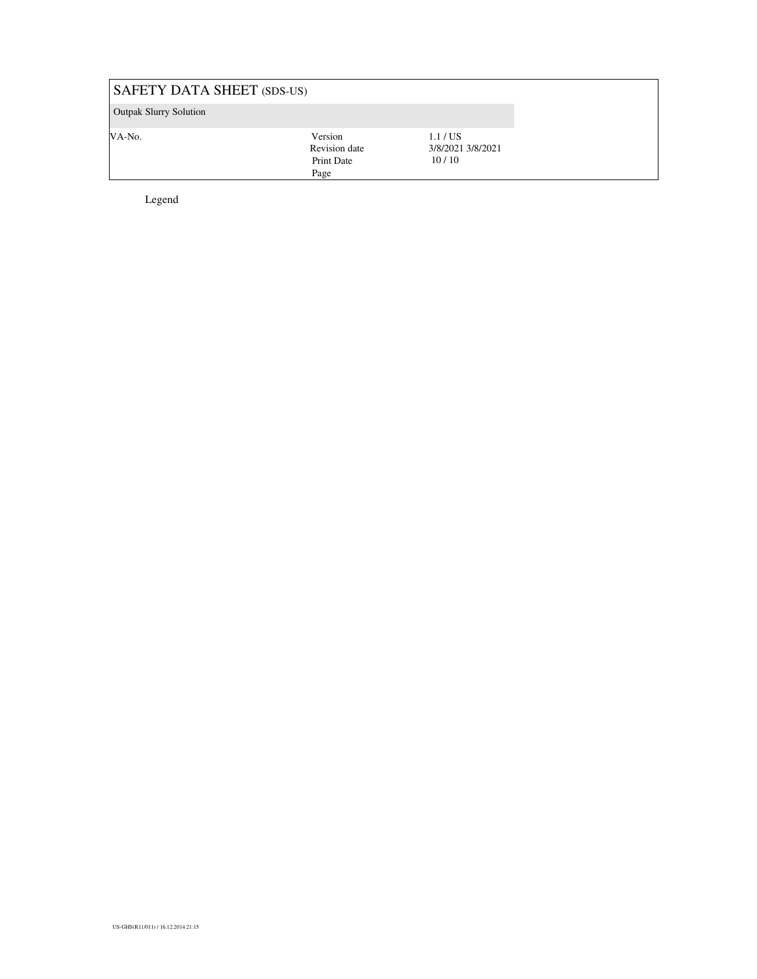| <b>SAFETY DATA SHEET (SDS-US)</b> |                                                |                                        |
|-----------------------------------|------------------------------------------------|----------------------------------------|
| Outpak Slurry Solution            |                                                |                                        |
| VA-No.                            | Version<br>Revision date<br>Print Date<br>Page | 1.1 / US<br>3/8/2021 3/8/2021<br>10/10 |

Legend